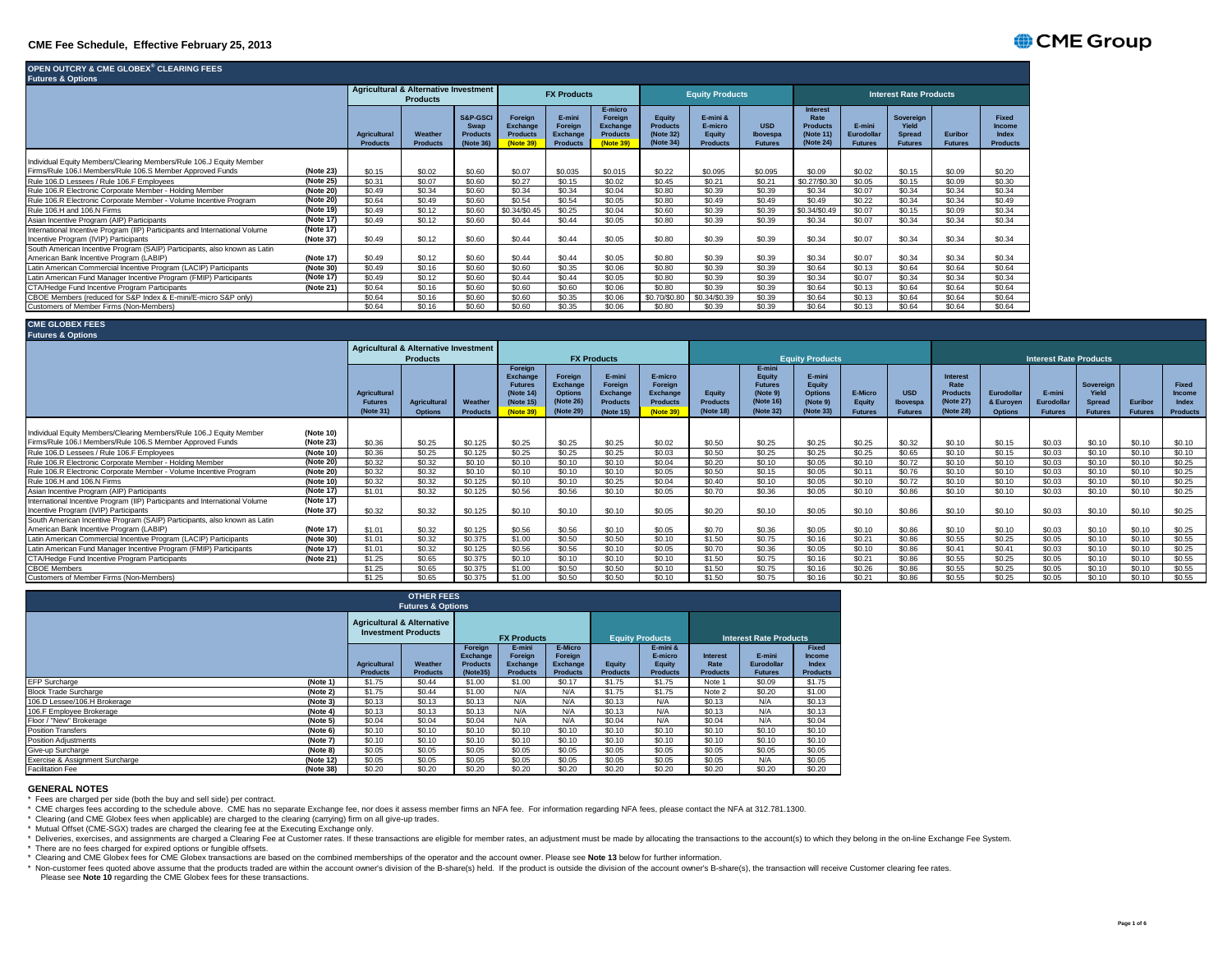## **CME Fee Schedule, Effective February 25, 2013**

| OPEN OUTCRY & CME GLOBEX® CLEARING FEES<br><b>Futures &amp; Options</b>                                              |                        |                                 |                                                                     |                                                             |                                                                   |                                                         |                                                                |                                                     |                                                  |                                          |                                                                      |                                        |                                                       |                           |                                                    |
|----------------------------------------------------------------------------------------------------------------------|------------------------|---------------------------------|---------------------------------------------------------------------|-------------------------------------------------------------|-------------------------------------------------------------------|---------------------------------------------------------|----------------------------------------------------------------|-----------------------------------------------------|--------------------------------------------------|------------------------------------------|----------------------------------------------------------------------|----------------------------------------|-------------------------------------------------------|---------------------------|----------------------------------------------------|
|                                                                                                                      |                        |                                 | <b>Agricultural &amp; Alternative Investment</b><br><b>Products</b> |                                                             |                                                                   | <b>FX Products</b>                                      |                                                                |                                                     | <b>Equity Products</b>                           |                                          |                                                                      |                                        | <b>Interest Rate Products</b>                         |                           |                                                    |
|                                                                                                                      |                        | Agricultural<br><b>Products</b> | Weather<br><b>Products</b>                                          | <b>S&amp;P-GSCI</b><br>Swap<br><b>Products</b><br>(Note 36) | <b>Foreign</b><br><b>Exchange</b><br><b>Products</b><br>(Note 39) | E-mini<br>Foreian<br><b>Exchange</b><br><b>Products</b> | E-micro<br>Foreian<br>Exchange<br><b>Products</b><br>(Note 39) | Eauity<br><b>Products</b><br>(Note 32)<br>(Note 34) | E-mini &<br>E-micro<br>Equity<br><b>Products</b> | <b>USD</b><br>Ibovespa<br><b>Futures</b> | <b>Interest</b><br>Rate<br><b>Products</b><br>(Note 11)<br>(Note 24) | E-mini<br>Eurodollar<br><b>Futures</b> | Sovereian<br>Yield<br><b>Spread</b><br><b>Futures</b> | Euribor<br><b>Futures</b> | <b>Fixed</b><br>Income<br>Index<br><b>Products</b> |
| Individual Equity Members/Clearing Members/Rule 106.J Equity Member                                                  |                        |                                 |                                                                     |                                                             |                                                                   |                                                         |                                                                |                                                     |                                                  |                                          |                                                                      |                                        |                                                       |                           |                                                    |
| Firms/Rule 106.I Members/Rule 106.S Member Approved Funds                                                            | (Note 23)              | \$0.15                          | \$0.02                                                              | \$0.60                                                      | \$0.07                                                            | \$0.035                                                 | \$0.015                                                        | \$0.22                                              | \$0.095                                          | \$0.095                                  | \$0.09                                                               | \$0.02                                 | \$0.15                                                | \$0.09                    | \$0.20                                             |
| Rule 106.D Lessees / Rule 106.F Employees                                                                            | (Note 25)              | \$0.31                          | \$0.07                                                              | \$0.60                                                      | \$0.27                                                            | \$0.15                                                  | \$0.02                                                         | \$0.45                                              | \$0.21                                           | \$0.21                                   | \$0.27/\$0.30                                                        | \$0.05                                 | \$0.15                                                | \$0.09                    | \$0.30                                             |
| Rule 106.R Electronic Corporate Member - Holding Member                                                              | (Note 20)              | \$0.49                          | \$0.34                                                              | \$0.60                                                      | \$0.34                                                            | \$0.34                                                  | \$0.04                                                         | \$0.80                                              | \$0.39                                           | \$0.39                                   | \$0.34                                                               | \$0.07                                 | \$0.34                                                | \$0.34                    | \$0.34                                             |
| Rule 106.R Electronic Corporate Member - Volume Incentive Program                                                    | (Note 20)              | \$0.64                          | \$0.49                                                              | \$0.60                                                      | \$0.54                                                            | \$0.54                                                  | \$0.05                                                         | \$0.80                                              | \$0.49                                           | \$0.49                                   | \$0.49                                                               | \$0.22                                 | \$0.34                                                | \$0.34                    | \$0.49                                             |
| Rule 106.H and 106.N Firms                                                                                           | (Note 19)              | \$0.49                          | \$0.12                                                              | \$0.60                                                      | \$0.34/\$0.45                                                     | \$0.25                                                  | \$0.04                                                         | \$0.60                                              | \$0.39                                           | \$0.39                                   | \$0.34/\$0.49                                                        | \$0.07                                 | \$0.15                                                | \$0.09                    | \$0.34                                             |
| Asian Incentive Program (AIP) Participants                                                                           | (Note 17)              | \$0.49                          | \$0.12                                                              | \$0.60                                                      | \$0.44                                                            | \$0.44                                                  | \$0.05                                                         | \$0.80                                              | \$0.39                                           | \$0.39                                   | \$0.34                                                               | \$0.07                                 | \$0.34                                                | \$0.34                    | \$0.34                                             |
| International Incentive Program (IIP) Participants and International Volume<br>Incentive Program (IVIP) Participants | (Note 17)<br>(Note 37) | \$0.49                          | \$0.12                                                              | \$0.60                                                      | \$0.44                                                            | \$0.44                                                  | \$0.05                                                         | \$0.80                                              | \$0.39                                           | \$0.39                                   | \$0.34                                                               | \$0.07                                 | \$0.34                                                | \$0.34                    | \$0.34                                             |
| South American Incentive Program (SAIP) Participants, also known as Latin                                            |                        |                                 |                                                                     |                                                             |                                                                   |                                                         |                                                                |                                                     |                                                  |                                          |                                                                      |                                        |                                                       |                           |                                                    |
| American Bank Incentive Program (LABIP)                                                                              | (Note 17)              | \$0.49                          | \$0.12                                                              | \$0.60                                                      | \$0.44                                                            | \$0.44                                                  | \$0.05                                                         | \$0.80                                              | \$0.39                                           | \$0.39                                   | \$0.34                                                               | \$0.07                                 | \$0.34                                                | \$0.34                    | \$0.34                                             |
| Latin American Commercial Incentive Program (LACIP) Participants                                                     | (Note 30)              | \$0.49                          | \$0.16                                                              | \$0.60                                                      | \$0.60                                                            | \$0.35                                                  | \$0.06                                                         | \$0.80                                              | \$0.39                                           | \$0.39                                   | \$0.64                                                               | \$0.13                                 | \$0.64                                                | \$0.64                    | \$0.64                                             |
| Latin American Fund Manager Incentive Program (FMIP) Participants                                                    | (Note 17)              | \$0.49                          | \$0.12                                                              | \$0.60                                                      | \$0.44                                                            | \$0.44                                                  | \$0.05                                                         | \$0.80                                              | \$0.39                                           | \$0.39                                   | \$0.34                                                               | \$0.07                                 | \$0.34                                                | \$0.34                    | \$0.34                                             |
| CTA/Hedge Fund Incentive Program Participants                                                                        | (Note 21)              | \$0.64                          | \$0.16                                                              | \$0.60                                                      | \$0.60                                                            | \$0.60                                                  | \$0.06                                                         | \$0.80                                              | \$0.39                                           | \$0.39                                   | \$0.64                                                               | \$0.13                                 | \$0.64                                                | \$0.64                    | \$0.64                                             |
| CBOE Members (reduced for S&P Index & E-mini/E-micro S&P only)                                                       |                        | \$0.64                          | \$0.16                                                              | \$0.60                                                      | \$0.60                                                            | \$0.35                                                  | \$0.06                                                         | \$0.70/\$0.80                                       | \$0.34/\$0.39                                    | \$0.39                                   | \$0.64                                                               | \$0.13                                 | \$0.64                                                | \$0.64                    | \$0.64                                             |
| Customers of Member Firms (Non-Members)                                                                              |                        | \$0.64                          | \$0.16                                                              | \$0.60                                                      | \$0.60                                                            | \$0.35                                                  | \$0.06                                                         | \$0.80                                              | \$0.39                                           | \$0.39                                   | \$0.64                                                               | \$0.13                                 | \$0.64                                                | \$0.64                    | \$0.64                                             |

#### **CME GLOBEX FEES** r\_ <del>\_ \_ \_ \_ \_ ..</del>.<br>tures & Optic

|                                                                                                                      |                        |                                                    | <b>Agricultural &amp; Alternative Investment</b><br><b>Products</b> |                            |                                                                             |                                                                 | <b>FX Products</b>                                            |                                                                |                                        |                                                                          | <b>Equity Products</b>                                      |                                     |                                          |                                                               |                                           | <b>Interest Rate Products</b>          |                                                       |                           |                                             |
|----------------------------------------------------------------------------------------------------------------------|------------------------|----------------------------------------------------|---------------------------------------------------------------------|----------------------------|-----------------------------------------------------------------------------|-----------------------------------------------------------------|---------------------------------------------------------------|----------------------------------------------------------------|----------------------------------------|--------------------------------------------------------------------------|-------------------------------------------------------------|-------------------------------------|------------------------------------------|---------------------------------------------------------------|-------------------------------------------|----------------------------------------|-------------------------------------------------------|---------------------------|---------------------------------------------|
|                                                                                                                      |                        | <b>Agricultural</b><br><b>Futures</b><br>(Note 31) | Agricultural<br><b>Options</b>                                      | Weather<br><b>Products</b> | Foreian<br>Exchange<br><b>Futures</b><br>(Note 14<br>(Note 15)<br>(Note 39) | Foreian<br>Exchange<br><b>Options</b><br>(Note 26)<br>(Note 29) | E-mini<br>Foreian<br>Exchange<br><b>Products</b><br>(Note 15) | E-micro<br>Foreian<br><b>Exchange</b><br>Products<br>(Note 39) | Equity<br><b>Products</b><br>(Note 18) | E-mini<br>Equity<br><b>Futures</b><br>(Note 9)<br>(Note 16)<br>(Note 32) | E-mini<br>Equity<br><b>Options</b><br>(Note 9)<br>(Note 33) | E-Micro<br>Equity<br><b>Futures</b> | <b>USD</b><br>Ibovespa<br><b>Futures</b> | <b>Interest</b><br>Rate<br>Products<br>(Note 27)<br>(Note 28) | Eurodollar<br>& Euroyen<br><b>Options</b> | E-mini<br>Eurodollai<br><b>Futures</b> | Sovereian<br>Yield<br><b>Spread</b><br><b>Futures</b> | Euribor<br><b>Futures</b> | Fixed<br>Income<br>Index<br><b>Products</b> |
| Individual Equity Members/Clearing Members/Rule 106.J Equity Member                                                  | (Note 10)              |                                                    |                                                                     |                            |                                                                             |                                                                 |                                                               |                                                                |                                        |                                                                          |                                                             |                                     |                                          |                                                               |                                           |                                        |                                                       |                           |                                             |
| Firms/Rule 106.I Members/Rule 106.S Member Approved Funds                                                            | (Note 23)              | \$0.36                                             | \$0.25                                                              | \$0.125                    | \$0.25                                                                      | \$0.25                                                          | \$0.25                                                        | \$0.02                                                         | \$0.50                                 | \$0.25                                                                   | \$0.25                                                      | \$0.25                              | \$0.32                                   | \$0.10                                                        | \$0.15                                    | \$0.03                                 | \$0.10                                                | \$0.10                    | \$0.10                                      |
| Rule 106.D Lessees / Rule 106.F Employees                                                                            | (Note 10)              | \$0.36                                             | \$0.25                                                              | \$0.125                    | \$0.25                                                                      | \$0.25                                                          | \$0.25                                                        | \$0.03                                                         | \$0.50                                 | \$0.25                                                                   | \$0.25                                                      | \$0.25                              | \$0.65                                   | \$0.10                                                        | \$0.15                                    | \$0.03                                 | \$0.10                                                | \$0.10                    | \$0.10                                      |
| Rule 106.R Electronic Corporate Member - Holding Member                                                              | (Note 20)              | \$0.32                                             | \$0.32                                                              | \$0.10                     | \$0.10                                                                      | \$0.10                                                          | \$0.10                                                        | \$0.04                                                         | \$0.20                                 | \$0.10                                                                   | \$0.05                                                      | \$0.10                              | \$0.72                                   | \$0.10                                                        | \$0.10                                    | \$0.03                                 | \$0.10                                                | \$0.10                    | \$0.25                                      |
| Rule 106.R Electronic Corporate Member - Volume Incentive Program                                                    | (Note 20)              | \$0.32                                             | \$0.32                                                              | \$0.10                     | \$0.10                                                                      | \$0.10                                                          | \$0.10                                                        | \$0.05                                                         | \$0.50                                 | \$0.15                                                                   | \$0.05                                                      | \$0.11                              | \$0.76                                   | \$0.10                                                        | \$0.10                                    | \$0.03                                 | \$0.10                                                | \$0.10                    | \$0.25                                      |
| Rule 106.H and 106.N Firms                                                                                           | (Note 10)              | \$0.32                                             | \$0.32                                                              | \$0.125                    | \$0.10                                                                      | \$0.10                                                          | \$0.25                                                        | \$0.04                                                         | \$0.40                                 | \$0.10                                                                   | \$0.05                                                      | \$0.10                              | \$0.72                                   | \$0.10                                                        | \$0.10                                    | \$0.03                                 | \$0.10                                                | \$0.10                    | \$0.25                                      |
| Asian Incentive Program (AIP) Participants                                                                           | (Note 17)              | \$1.01                                             | \$0.32                                                              | \$0.125                    | \$0.56                                                                      | \$0.56                                                          | \$0.10                                                        | \$0.05                                                         | \$0.70                                 | \$0.36                                                                   | \$0.05                                                      | \$0.10                              | \$0.86                                   | \$0.10                                                        | \$0.10                                    | \$0.03                                 | \$0.10                                                | \$0.10                    | \$0.25                                      |
| International Incentive Program (IIP) Participants and International Volume<br>Incentive Program (IVIP) Participants | (Note 17)<br>(Note 37) | \$0.32                                             | \$0.32                                                              | \$0.125                    | \$0.10                                                                      | \$0.10                                                          | \$0.10                                                        | \$0.05                                                         | \$0.20                                 | \$0.10                                                                   | \$0.05                                                      | \$0.10                              | \$0.86                                   | \$0.10                                                        | \$0.10                                    | \$0.03                                 | \$0.10                                                | \$0.10                    | \$0.25                                      |
| South American Incentive Program (SAIP) Participants, also known as Latin                                            |                        |                                                    |                                                                     |                            |                                                                             |                                                                 |                                                               |                                                                |                                        |                                                                          |                                                             |                                     |                                          |                                                               |                                           |                                        |                                                       |                           |                                             |
| American Bank Incentive Program (LABIP)                                                                              | (Note 17)              | \$1.01                                             | \$0.32                                                              | \$0.125                    | \$0.56                                                                      | \$0.56                                                          | \$0.10                                                        | \$0.05                                                         | \$0.70                                 | \$0.36                                                                   | \$0.05                                                      | \$0.10                              | \$0.86                                   | \$0.10                                                        | \$0.10                                    | \$0.03                                 | \$0.10                                                | \$0.10                    | \$0.25                                      |
| Latin American Commercial Incentive Program (LACIP) Participants                                                     | (Note 30)              | \$1.01                                             | \$0.32                                                              | \$0.375                    | \$1.00                                                                      | \$0.50                                                          | \$0.50                                                        | \$0.10                                                         | \$1.50                                 | \$0.75                                                                   | \$0.16                                                      | \$0.21                              | \$0.86                                   | \$0.55                                                        | \$0.25                                    | \$0.05                                 | \$0.10                                                | \$0.10                    | \$0.55                                      |
| Latin American Fund Manager Incentive Program (FMIP) Participants                                                    | (Note 17)              | \$1.01                                             | \$0.32                                                              | \$0.125                    | \$0.56                                                                      | \$0.56                                                          | \$0.10                                                        | \$0.05                                                         | \$0.70                                 | \$0.36                                                                   | \$0.05                                                      | \$0.10                              | \$0.86                                   | \$0.41                                                        | \$0.41                                    | \$0.03                                 | \$0.10                                                | \$0.10                    | \$0.25                                      |
| CTA/Hedge Fund Incentive Program Participants                                                                        | (Note 21)              | \$1.25                                             | \$0.65                                                              | \$0.375                    | \$0.10                                                                      | \$0.10                                                          | \$0.10                                                        | \$0.10                                                         | \$1.50                                 | \$0.75                                                                   | \$0.16                                                      | \$0.21                              | \$0.86                                   | \$0.55                                                        | \$0.25                                    | \$0.05                                 | \$0.10                                                | \$0.10                    | \$0.55                                      |
| <b>CBOE Members</b>                                                                                                  |                        | \$1.25                                             | \$0.65                                                              | \$0.375                    | \$1.00                                                                      | \$0.50                                                          | \$0.50                                                        | \$0.10                                                         | \$1.50                                 | \$0.75                                                                   | \$0.16                                                      | \$0.26                              | \$0.86                                   | \$0.55                                                        | \$0.25                                    | \$0.05                                 | \$0.10                                                | \$0.10                    | \$0.55                                      |
| Customers of Member Firms (Non-Members)                                                                              |                        | \$1.25                                             | \$0.65                                                              | \$0.375                    | \$1.00                                                                      | \$0.50                                                          | \$0.50                                                        | \$0.10                                                         | \$1.50                                 | \$0.75                                                                   | \$0.16                                                      | \$0.21                              | \$0.86                                   | \$0.55                                                        | \$0.25                                    | \$0.05                                 | \$0.10                                                | \$0.10                    | \$0.55                                      |

|                                 |                                                                     |                                        | <b>OTHER FEES</b><br><b>Futures &amp; Options</b> |                                                           |                                                         |                                                   |                               |                                                  |                                            |                                        |                                                           |
|---------------------------------|---------------------------------------------------------------------|----------------------------------------|---------------------------------------------------|-----------------------------------------------------------|---------------------------------------------------------|---------------------------------------------------|-------------------------------|--------------------------------------------------|--------------------------------------------|----------------------------------------|-----------------------------------------------------------|
|                                 | <b>Agricultural &amp; Alternative</b><br><b>Investment Products</b> |                                        | <b>FX Products</b>                                |                                                           | <b>Equity Products</b>                                  |                                                   | <b>Interest Rate Products</b> |                                                  |                                            |                                        |                                                           |
|                                 |                                                                     | <b>Agricultural</b><br><b>Products</b> | Weather<br><b>Products</b>                        | Foreign<br><b>Exchange</b><br><b>Products</b><br>(Note35) | E-mini<br>Foreign<br><b>Exchange</b><br><b>Products</b> | E-Micro<br>Foreign<br>Exchange<br><b>Products</b> | Equity<br><b>Products</b>     | E-mini &<br>E-micro<br>Equity<br><b>Products</b> | <b>Interest</b><br>Rate<br><b>Products</b> | E-mini<br>Eurodollar<br><b>Futures</b> | <b>Fixed</b><br><b>Income</b><br>Index<br><b>Products</b> |
| EFP Surcharge                   | (Note 1)                                                            | \$1.75                                 | \$0.44                                            | \$1.00                                                    | \$1.00                                                  | \$0.17                                            | \$1.75                        | \$1.75                                           | Note 1                                     | \$0.09                                 | \$1.75                                                    |
| <b>Block Trade Surcharge</b>    | (Note 2)                                                            | \$1.75                                 | \$0.44                                            | \$1.00                                                    | N/A                                                     | N/A                                               | \$1.75                        | \$1.75                                           | Note 2                                     | \$0.20                                 | \$1.00                                                    |
| 106.D Lessee/106.H Brokerage    | (Note 3)                                                            | \$0.13                                 | \$0.13                                            | \$0.13                                                    | N/A                                                     | N/A                                               | \$0.13                        | N/A                                              | \$0.13                                     | N/A                                    | \$0.13                                                    |
| 106.F Employee Brokerage        | (Note 4)                                                            | \$0.13                                 | \$0.13                                            | \$0.13                                                    | N/A                                                     | N/A                                               | \$0.13                        | N/A                                              | \$0.13                                     | N/A                                    | \$0.13                                                    |
| Floor / "New" Brokerage         | (Note 5)                                                            | \$0.04                                 | \$0.04                                            | \$0.04                                                    | N/A                                                     | N/A                                               | \$0.04                        | N/A                                              | \$0.04                                     | N/A                                    | \$0.04                                                    |
| <b>Position Transfers</b>       | (Note 6)                                                            | \$0.10                                 | \$0.10                                            | \$0.10                                                    | \$0.10                                                  | \$0.10                                            | \$0.10                        | \$0.10                                           | \$0.10                                     | \$0.10                                 | \$0.10                                                    |
| <b>Position Adiustments</b>     | (Note 7)                                                            | \$0.10                                 | \$0.10                                            | \$0.10                                                    | \$0.10                                                  | \$0.10                                            | \$0.10                        | \$0.10                                           | \$0.10                                     | \$0.10                                 | \$0.10                                                    |
| Give-up Surcharge               | (Note 8)                                                            | \$0.05                                 | \$0.05                                            | \$0.05                                                    | \$0.05                                                  | \$0.05                                            | \$0.05                        | \$0.05                                           | \$0.05                                     | \$0.05                                 | \$0.05                                                    |
| Exercise & Assignment Surcharge | (Note 12)                                                           | \$0.05                                 | \$0.05                                            | \$0.05                                                    | \$0.05                                                  | \$0.05                                            | \$0.05                        | \$0.05                                           | \$0.05                                     | N/A                                    | \$0.05                                                    |
| <b>Facilitation Fee</b>         | (Note 38)                                                           | \$0.20                                 | \$0.20                                            | \$0.20                                                    | \$0.20                                                  | \$0.20                                            | \$0.20                        | \$0.20                                           | \$0.20                                     | \$0.20                                 | \$0.20                                                    |

## **GENERAL NOTES**

\* Fees are charged per side (both the buy and sell side) per contract.

\* CME charges fees according to the schedule above. CME has no separate Exchange fee, nor does it assess member firms an NFA fee. For information regarding NFA fees, please contact the NFA at 312.781.1300.

\* Clearing (and CME Globex fees when applicable) are charged to the clearing (carrying) firm on all give-up trades.

\* Mutual Offset (CME-SGX) trades are charged the clearing fee at the Executing Exchange only.<br>\* Deliveries, exercises, and assignments are charged a Clearing Fee at Customer rates. If these transactions are eligible for me

\* There are no fees charged for expired options or fungible offsets.

\* Clearing and CME Globex fees for CME Globex transactions are based on the combined memberships of the operator and the account owner. Please see **Note 13** below for further information.

\* Non-customer fees quoted above assume that the products traded are within the account owner's division of the B-share(s) held. If the product is outside the division of the account owner's B-share(s), the transaction wil Please see **Note 10** regarding the CME Globex fees for these transactions.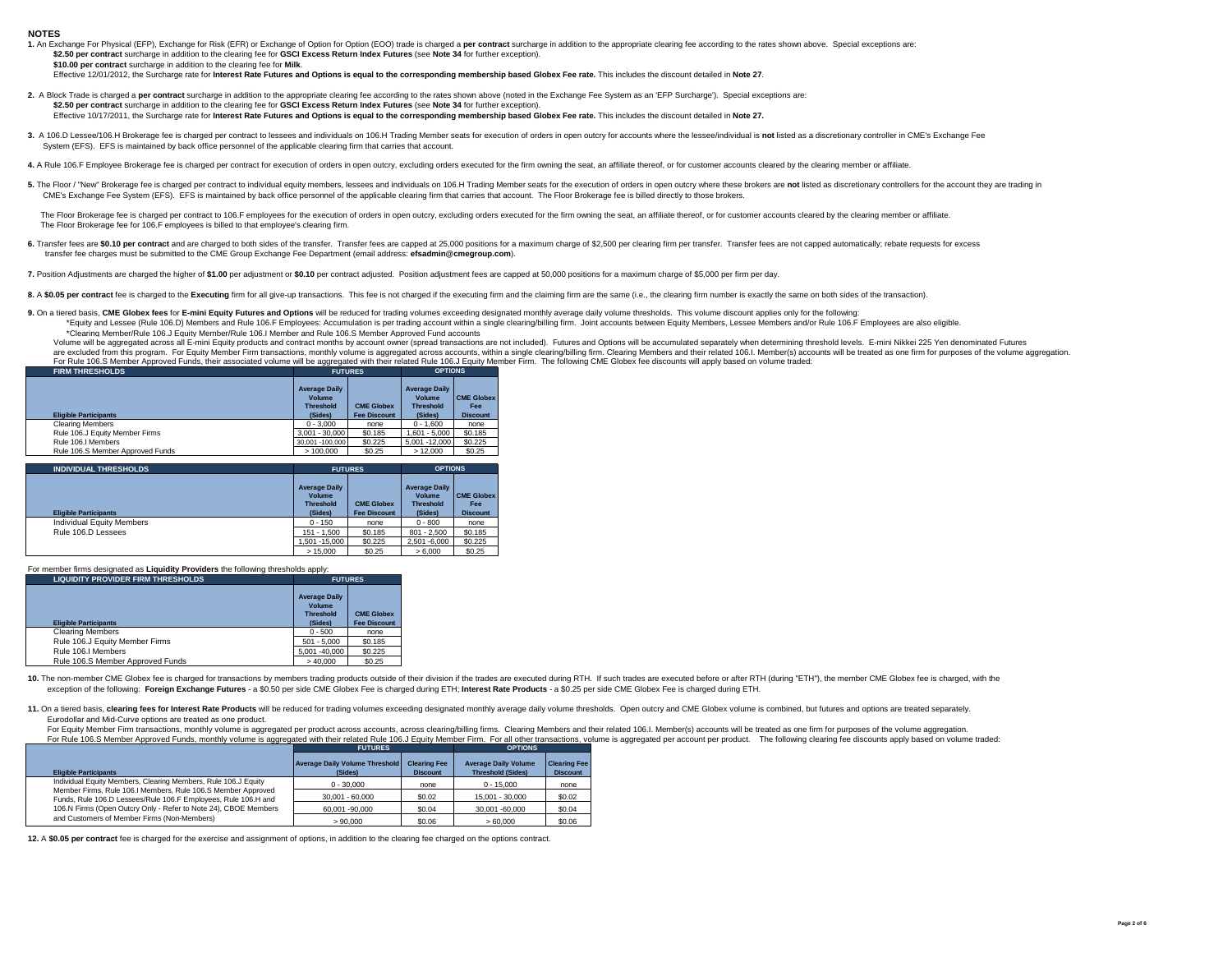#### **NOTES**

| 1. An Exchange For Physical (EFP), Exchange for Risk (EFR) or Exchange of Option for Option (EOO) trade is charged a per contract surcharge in addition to the appropriate clearing fee according to the rates shown above. Sp |  |
|--------------------------------------------------------------------------------------------------------------------------------------------------------------------------------------------------------------------------------|--|
| \$2.50 per contract surcharge in addition to the clearing fee for GSCI Excess Return Index Futures (see Note 34 for further exception).                                                                                        |  |
| \$10.00 per contract surcharge in addition to the clearing fee for Milk.                                                                                                                                                       |  |
| Effective 12/01/2012, the Surcharge rate for Interest Rate Futures and Options is equal to the corresponding membership based Globex Fee rate. This includes the discount detailed in Note 27.                                 |  |
|                                                                                                                                                                                                                                |  |

- 2. A Block Trade is charged a per contract surcharge in addition to the appropriate clearing fee according to the rates shown above (noted in the Exchange Fee System as an 'EFP Surcharge'). Special exceptions are: **\$2.50 per contract** surcharge in addition to the clearing fee for **GSCI Excess Return Index Futures** (see **Note 34** for further exception). Effective 10/17/2011, the Surcharge rate for **Interest Rate Futures and Options is equal to the corresponding membership based Globex Fee rate.** This includes the discount detailed in **Note 27.**
- 3. A 106.D Lessee/106.H Brokerage fee is charged per contract to lessees and individuals on 106.H Trading Member seats for execution of orders in open outcry for accounts where the lessee/individual is not listed as a disc System (EFS). EFS is maintained by back office personnel of the applicable clearing firm that carries that account.
- 4. A Rule 106.F Employee Brokerage fee is charged per contract for execution of orders in open outcry, excluding orders executed for the firm owning the seat, an affiliate thereof, or for customer accounts cleared by the c
- 5. The Floor / "New" Brokerage fee is charged per contract to individual equity members, lessees and individuals on 106.H Trading Member seats for the execution of orders in open outcry where these brokers are not listed a CME's Exchange Fee System (EFS). EFS is maintained by back office personnel of the applicable clearing firm that carries that account. The Floor Brokerage fee is billed directly to those brokers.

The Floor Brokerage fee is charged per contract to 106.F employees for the execution of orders in open outcry, excluding orders executed for the firm owning the seat, an affiliate thereof, or for customer accounts cleared The Floor Brokerage fee for 106.F employees is billed to that employee's clearing firm.

6. Transfer fees are \$0.10 per contract and are charged to both sides of the transfer. Transfer fees are capped at 25,000 positions for a maximum charge of \$2,500 per clearing firm per transfer. Transfer fees are not cappe transfer fee charges must be submitted to the CME Group Exchange Fee Department (email address: **efsadmin@cmegroup.com**).

7. Position Adjustments are charged the higher of \$1.00 per adjustment or \$0.10 per contract adjusted. Position adjustment fees are capped at 50,000 positions for a maximum charge of \$5,000 per firm per day.

8. A \$0.05 per contract fee is charged to the Executing firm for all give-up transactions. This fee is not charged if the executing firm and the claiming firm are the same (i.e., the clearing firm number is exactly the sam

9. On a tiered basis, CME Globex fees for E-mini Equity Futures and Options will be reduced for trading volumes exceeding designated monthly average daily volume thresholds. This volume discount applies only for the follow \*Equity and Lessee (Rule 106.D) Members and Rule 106.F Employees: Accumulation is per trading account within a single clearing/billing firm. Joint accounts between Equity Members, Lessee Members and/or Rule 106.F Employees \*Clearing Member/Rule 106.J Equity Member/Rule 106.I Member and Rule 106.S Member Approved Fund accounts

Volume will be aggregated across all E-mini Equity products and contract months by account owner (spread transactions are not included). Futures and Options will be accumulated separately when determining threshold levels. are excluded from this program. For Equity Member Firm transactions, monthly volume is aggregated across accounts, within a single clearing/billing firm. Clearing Members and their related 106.I. Member(s) accounts will be For Rule 106.S Member Approved Funds, their associated volume will be aggregated with their related Rule 106.J Equity Member Firm. The following CME Globex fee discounts will apply based on volume traded:

| Terminal recreament represent analysism accounting sound million aggregated million related ridio recreations |                                                    |                     |                                                    |                                 |  |  |  |
|---------------------------------------------------------------------------------------------------------------|----------------------------------------------------|---------------------|----------------------------------------------------|---------------------------------|--|--|--|
| <b>FIRM THRESHOLDS</b>                                                                                        | <b>FUTURES</b>                                     |                     | <b>OPTIONS</b>                                     |                                 |  |  |  |
|                                                                                                               | <b>Average Daily</b><br>Volume<br><b>Threshold</b> | <b>CME Globex</b>   | <b>Average Daily</b><br>Volume<br><b>Threshold</b> | <b>CME Globex</b><br><b>Fee</b> |  |  |  |
|                                                                                                               |                                                    |                     |                                                    |                                 |  |  |  |
| <b>Eligible Participants</b>                                                                                  | (Sides)                                            | <b>Fee Discount</b> | (Sides)                                            | <b>Discount</b>                 |  |  |  |
| Clearing Members                                                                                              | $0 - 3.000$                                        | none                | $0 - 1.600$                                        | none                            |  |  |  |
| Rule 106.J Equity Member Firms                                                                                | $3.001 - 30.000$                                   | \$0.185             | $1.601 - 5.000$                                    | \$0.185                         |  |  |  |
| Rule 106.I Members                                                                                            | 30.001 -100.000                                    | \$0.225             | 5.001 -12.000                                      | \$0.225                         |  |  |  |
| Rule 106.S Member Approved Funds                                                                              | >100.000                                           | \$0.25              | >12,000                                            | \$0.25                          |  |  |  |

| <b>INDIVIDUAL THRESHOLDS</b>     | <b>FUTURES</b>                                                       |                                          | <b>OPTIONS</b>                                                |                                                    |  |
|----------------------------------|----------------------------------------------------------------------|------------------------------------------|---------------------------------------------------------------|----------------------------------------------------|--|
| <b>Eligible Participants</b>     | <b>Average Daily</b><br><b>Volume</b><br><b>Threshold</b><br>(Sides) | <b>CME Globex</b><br><b>Fee Discount</b> | <b>Average Daily</b><br>Volume<br><b>Threshold</b><br>(Sides) | <b>CME Globex</b><br><b>Fee</b><br><b>Discount</b> |  |
| <b>Individual Equity Members</b> | $0 - 150$                                                            | none                                     | $0 - 800$                                                     | none                                               |  |
| Rule 106.D Lessees               | $151 - 1.500$                                                        | \$0.185                                  | $801 - 2.500$                                                 | \$0.185                                            |  |
|                                  | 1.501 - 15.000                                                       | \$0.225                                  | 2.501 -6.000                                                  | \$0.225                                            |  |
|                                  | >15.000                                                              | \$0.25                                   | > 6.000                                                       | \$0.25                                             |  |

For member firms designated as **Liquidity Providers** the following thresholds apply:

| <b>LIQUIDITY PROVIDER FIRM THRESHOLDS</b> | <b>FUTURES</b>                                                |                                          |  |
|-------------------------------------------|---------------------------------------------------------------|------------------------------------------|--|
| <b>Eligible Participants</b>              | <b>Average Daily</b><br>Volume<br><b>Threshold</b><br>(Sides) | <b>CME Globex</b><br><b>Fee Discount</b> |  |
| <b>Clearing Members</b>                   | $0 - 500$                                                     | none                                     |  |
| Rule 106.J Equity Member Firms            | $501 - 5.000$                                                 | \$0.185                                  |  |
| Rule 106.I Members                        | 5.001 -40.000                                                 | \$0.225                                  |  |
| Rule 106.S Member Approved Funds          | >40.000                                                       | \$0.25                                   |  |

10. The non-member CME Globex fee is charged for transactions by members trading products outside of their division if the trades are executed during RTH. If such trades are executed before or after RTH (during "ETH"), the exception of the following: **Foreign Exchange Futures** - a \$0.50 per side CME Globex Fee is charged during ETH; **Interest Rate Products** - a \$0.25 per side CME Globex Fee is charged during ETH.

11. On a tiered basis, clearing fees for Interest Rate Products will be reduced for trading volumes exceeding designated monthly average daily volume thresholds. Open outcry and CME Globex volume is combined, but futures a Eurodollar and Mid-Curve options are treated as one product.

For Equity Member Firm transactions, monthly volume is aggregated per product across accounts, across clearing/billing firms. Clearing Members and their related 106.I. Member(s) accounts will be treated as one firm for pur For Rule 106.S Member Approved Funds, monthly volume is aggregated with their related Rule 106.J Equity Member Firm. For all other transactions, volume is aggregated per account per product. The following clearing fee disc

|                                                                                                                                | <b>FUTURES</b>                                   | <b>OPTIONS</b>                         |                                                         |                                        |
|--------------------------------------------------------------------------------------------------------------------------------|--------------------------------------------------|----------------------------------------|---------------------------------------------------------|----------------------------------------|
| <b>Eligible Participants</b>                                                                                                   | <b>Average Daily Volume Threshold</b><br>(Sides) | <b>Clearing Fee</b><br><b>Discount</b> | <b>Average Daily Volume</b><br><b>Threshold (Sides)</b> | <b>Clearing Fee</b><br><b>Discount</b> |
| Individual Equity Members, Clearing Members, Rule 106.J Equity                                                                 | $0 - 30,000$                                     | none                                   | $0 - 15,000$                                            | none                                   |
| Member Firms, Rule 106.I Members, Rule 106.S Member Approved<br>Funds, Rule 106.D Lessees/Rule 106.F Employees, Rule 106.H and | $30.001 - 60.000$                                | \$0.02                                 | 15.001 - 30.000                                         | \$0.02                                 |
| 106.N Firms (Open Outcry Only - Refer to Note 24), CBOE Members                                                                | 60.001 -90.000                                   | \$0.04                                 | 30.001 -60.000                                          | \$0.04                                 |
| and Customers of Member Firms (Non-Members)                                                                                    | > 90.000                                         | \$0.06                                 | >60.000                                                 | \$0.06                                 |

**12.** A **\$0.05 per contract** fee is charged for the exercise and assignment of options, in addition to the clearing fee charged on the options contract.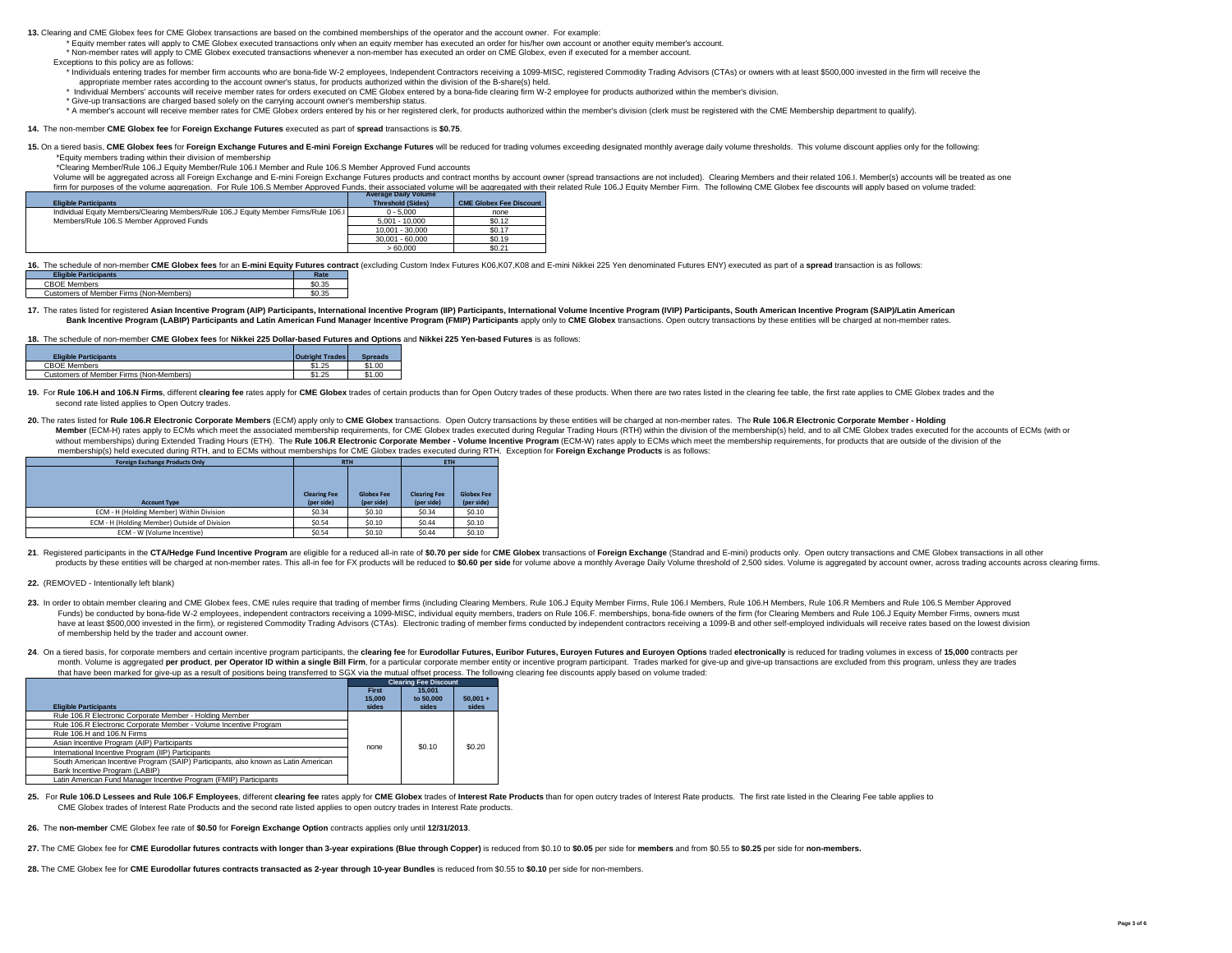**13.** Clearing and CME Globex fees for CME Globex transactions are based on the combined memberships of the operator and the account owner. For example:

- \* Equity member rates will apply to CME Globex executed transactions only when an equity member has executed an order for his/her own account or another equity member's account.
- \* Non-member rates will apply to CME Globex executed transactions whenever a non-member has executed an order on CME Globex, even if executed for a member account. Exceptions to this policy are as follows:
- \* Individuals entering trades for member firm accounts who are bona-fide W-2 employees, Independent Contractors receiving a 1099-MISC, registered Commodity Trading Advisors (CTAs) or owners with at least \$500,000 invested appropriate member rates according to the account owner's status, for products authorized within the division of the B-share(s) held.
- \* Individual Members' accounts will receive member rates for orders executed on CME Globex entered by a bona-fide clearing firm W-2 employee for products authorized within the member's division.
- \* Give-up transactions are charged based solely on the carrying account owner's membership status.
- \* A member's account will receive member rates for CME Globex orders entered by his or her registered clerk, for products authorized within the member's division (clerk must be registered with the CME Membership department

#### **14.** The non-member **CME Globex fee** for **Foreign Exchange Futures** executed as part of **spread** transactions is **\$0.75**.

## 15. On a tiered basis, CME Globex fees for Foreign Exchange Futures and E-mini Foreign Exchange Futures will be reduced for trading volumes exceeding designated monthly average daily volume thresholds. This volume discount

\*Equity members trading within their division of membership

\*Clearing Member/Rule 106.J Equity Member/Rule 106.I Member and Rule 106.S Member Approved Fund accounts

Volume will be aggregated across all Foreign Exchange and E-mini Foreign Exchange Futures products and contract months by account owner (spread transactions are not included). Clearing Members and their related 106.I. Memb firm for purposes of the volume aggregation. For Rule 106.S Member Approved Funds, their associated volume will be aggregated with their related Rule 106.J Equity Member Firm. The following CME Globex fee discounts will ap

|                                                                                      | Average Daily Volume     |                                |  |
|--------------------------------------------------------------------------------------|--------------------------|--------------------------------|--|
| <b>Eligible Participants</b>                                                         | <b>Threshold (Sides)</b> | <b>CME Globex Fee Discount</b> |  |
| Individual Equity Members/Clearing Members/Rule 106.J Equity Member Firms/Rule 106.I | $0 - 5.000$              | none                           |  |
| Members/Rule 106.S Member Approved Funds                                             | $5.001 - 10.000$         | \$0.12                         |  |
|                                                                                      | 10.001 - 30.000          | \$0.17                         |  |
|                                                                                      | 30.001 - 60.000          | \$0.19                         |  |
|                                                                                      | 56000                    | \$0.21                         |  |

16. The schedule of non-member CME Globex fees for an E-mini Equity Futures contract (excluding Custom Index Futures K06, K07, K08 and E-mini Nikkei 225 Yen denominated Futures ENY) executed as part of a spread transaction

| <b>Eligible Participants</b>            | Rate   |  |
|-----------------------------------------|--------|--|
| <b>CBOE Members</b>                     | \$0.35 |  |
| Customers of Member Firms (Non-Members) | \$0.35 |  |

#### 17. The rates listed for registered Asian Incentive Program (AIP) Participants, International Incentive Program (IIP) Participants, International Volume Incentive Program (IVIP) Participants, South American Incentive Progr Bank Incentive Program (LABIP) Participants and Latin American Fund Manager Incentive Program (FMIP) Participants apply only to CME Globex transactions. Open outcry transactions by these entities will be charged at non-mem

**18.** The schedule of non-member **CME Globex fees** for **Nikkei 225 Dollar-based Futures and Options** and **Nikkei 225 Yen-based Futures** is as follows:

| <b>Eligible Participants</b>            | <b>Outright Trades</b> | <b>Spreads</b> |
|-----------------------------------------|------------------------|----------------|
| <b>CBOF Members</b>                     | \$1.25                 | \$1.00         |
| Customers of Member Firms (Non-Members) | \$1.25                 | \$1.00         |

19. For Rule 106.H and 106.N Firms, different clearing fee rates apply for CME Globex trades of certain products than for Open Outcry trades of these products. When there are two rates listed in the clearing fee table, the second rate listed applies to Open Outcry trades.

20. The rates listed for Rule 106.R Electronic Corporate Members (ECM) apply only to CME Globex transactions. Open Outcry transactions by these entities will be charged at non-member rates. The Rule 106.R Electronic Corpor Member (ECM-H) rates apply to ECMs which meet the associated membership requirements, for CME Globex trades executed during Regular Trading Hours (RTH) within the division of the membership(s) held, and to all CME Globex t without memberships) during Extended Trading Hours (ETH). The Rule 106.R Electronic Corporate Member - Volume Incentive Program (ECM-W) rates apply to ECMs which meet the membership requirements, for products that are outs membership(s) held executed during RTH, and to ECMs without memberships for CME Globex trades executed during RTH. Exception for **Foreign Exchange Products** is as follows:

| <b>Foreign Exchange Products Only</b>        | <b>RTH</b>                        |                                 | ETH                               |                                 |  |
|----------------------------------------------|-----------------------------------|---------------------------------|-----------------------------------|---------------------------------|--|
| <b>Account Type</b>                          | <b>Clearing Fee</b><br>(per side) | <b>Globex Fee</b><br>(per side) | <b>Clearing Fee</b><br>(per side) | <b>Globex Fee</b><br>(per side) |  |
| ECM - H (Holding Member) Within Division     | \$0.34                            | \$0.10                          | \$0.34                            | \$0.10                          |  |
| ECM - H (Holding Member) Outside of Division | \$0.54                            | \$0.10                          | \$0.44                            | \$0.10                          |  |
| ECM - W (Volume Incentive)                   | \$0.54                            | \$0.10                          | \$0.44                            | \$0.10                          |  |

21. Registered participants in the CTA/Hedge Fund Incentive Program are eligible for a reduced all-in rate of \$0.70 per side for CME Globex transactions of Foreign Exchange (Standrad and E-mini) products only. Open outcry products by these entities will be charged at non-member rates. This all-in fee for FX products will be reduced to \$0.60 per side for volume above a monthly Average Daily Volume threshold of 2,500 sides. Volume is aggregat

### **22.** (REMOVED - Intentionally left blank)

- 23. In order to obtain member clearing and CME Globex fees, CME rules require that trading of member firms (including Clearing Members, Rule 106.J Equity Member Firms, Rule 106.I Members, Rule 106.H Members, Rule 106.N Mem Funds) be conducted by bona-fide W-2 employees, independent contractors receiving a 1099-MISC, individual equity members, traders on Rule 106.F. memberships, bona-fide owners of the firm (for Clearing Members and Rule 106. have at least \$500,000 invested in the firm), or registered Commodity Trading Advisors (CTAs). Electronic trading of member firms conducted by independent contractors receiving a 1099-B and other self-employed individuals of membership held by the trader and account owner.
- 24. On a tiered basis, for corporate members and certain incentive program participants, the clearing fee for Eurodollar Futures. Euribor Futures. Euroven Futures and Euroven Options traded electronically is reduced for tr month. Volume is aggregated per product, per Operator ID within a single Bill Firm, for a particular corporate member entity or incentive program participant. Trades marked for give-up and give-up transactions are excluded that have been marked for give-up as a result of positions being transferred to SGX via the mutual offset process. The following clearing fee discounts apply based on volume traded:

|                                                                                    |              | <b>Clearing Fee Discount</b> |            |
|------------------------------------------------------------------------------------|--------------|------------------------------|------------|
|                                                                                    | <b>First</b> | 15.001                       |            |
|                                                                                    | 15,000       | to 50,000                    | $50.001 +$ |
| <b>Eligible Participants</b>                                                       | sides        | sides                        | sides      |
| Rule 106.R Electronic Corporate Member - Holding Member                            |              |                              |            |
| Rule 106.R Electronic Corporate Member - Volume Incentive Program                  |              |                              |            |
| Rule 106.H and 106.N Firms                                                         |              |                              |            |
| Asian Incentive Program (AIP) Participants                                         | none         | \$0.10                       | \$0.20     |
| International Incentive Program (IIP) Participants                                 |              |                              |            |
| South American Incentive Program (SAIP) Participants, also known as Latin American |              |                              |            |
| Bank Incentive Program (LABIP)                                                     |              |                              |            |
| Latin American Fund Manager Incentive Program (FMIP) Participants                  |              |                              |            |

25. For Rule 106.D Lessees and Rule 106.F Employees, different clearing fee rates apply for CME Globex trades of Interest Rate Products than for open outcry trades of Interest Rate Products. The first rate listed in the Cl CME Globex trades of Interest Rate Products and the second rate listed applies to open outcry trades in Interest Rate products.

**26.** The **non-member** CME Globex fee rate of **\$0.50** for **Foreign Exchange Option** contracts applies only until **12/31/2013**.

- 27. The CME Globex fee for CME Eurodollar futures contracts with longer than 3-year expirations (Blue through Copper) is reduced from \$0.10 to \$0.05 per side for members and from \$0.55 to \$0.25 per side for non-members.
- **28.** The CME Globex fee for **CME Eurodollar futures contracts transacted as 2-year through 10-year Bundles** is reduced from \$0.55 to **\$0.10** per side for non-members.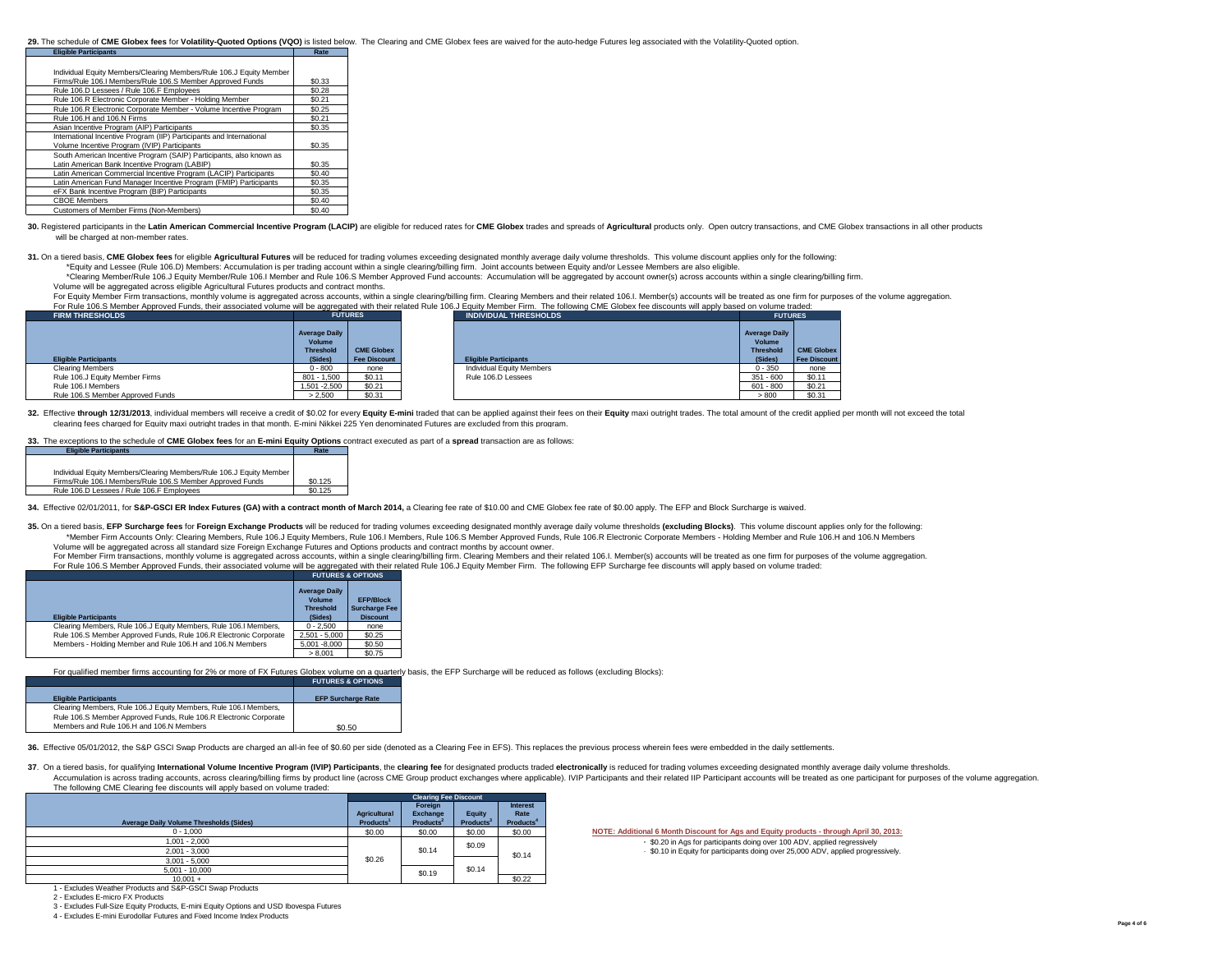#### 29. The schedule of CME Globex fees for Volatility-Quoted Options (VQO) is listed below. The Clearing and CME Globex fees are waived for the auto-hedge Futures leg associated with the Volatility-Quoted option.

| <b>Eligible Participants</b>                                         | Rate   |
|----------------------------------------------------------------------|--------|
|                                                                      |        |
| Individual Equity Members/Clearing Members/Rule 106.J Equity Member  |        |
| Firms/Rule 106.I Members/Rule 106.S Member Approved Funds            | \$0.33 |
| Rule 106.D Lessees / Rule 106.F Employees                            | \$0.28 |
| Rule 106.R Electronic Corporate Member - Holding Member              | \$0.21 |
| Rule 106.R Electronic Corporate Member - Volume Incentive Program    | \$0.25 |
| Rule 106.H and 106.N Firms                                           | \$0.21 |
| Asian Incentive Program (AIP) Participants                           | \$0.35 |
| International Incentive Program (IIP) Participants and International |        |
| Volume Incentive Program (IVIP) Participants                         | \$0.35 |
| South American Incentive Program (SAIP) Participants, also known as  |        |
| Latin American Bank Incentive Program (LABIP)                        | \$0.35 |
| Latin American Commercial Incentive Program (LACIP) Participants     | \$0.40 |
| Latin American Fund Manager Incentive Program (FMIP) Participants    | \$0.35 |
| eFX Bank Incentive Program (BIP) Participants                        | \$0.35 |
| <b>CBOE Members</b>                                                  | \$0.40 |
| Customers of Member Firms (Non-Members)                              | \$0.40 |

30. Registered participants in the Latin American Commercial Incentive Program (LACIP) are eligible for reduced rates for CME Globex trades and spreads of Agricultural products only. Open outcry transactions, and CME Globe will be charged at non-member rates.

31. On a tiered basis, CME Globex fees for eligible Agricultural Futures will be reduced for trading volumes exceeding designated monthly average daily volume thresholds. This volume discount applies only for the following

\*Equity and Lessee (Rule 106.D) Members: Accumulation is per trading account within a single clearing/billing firm. Joint accounts between Equity and/or Lessee Members are also eligible.

\*Clearing Member/Rule 106.J Equity Member/Rule 106.I Member and Rule 106.S Member Approved Fund accounts: Accumulation will be aggregated by account owner(s) across accounts within a single clearing/billing firm. Volume will be aggregated across eligible Agricultural Futures products and contract months.

For Equity Member Firm transactions, monthly volume is aggregated across accounts, within a single clearing/billing firm. Clearing Members and their related 106.I. Member(s) accounts will be treated as one firm for purpose For Rule 106. S Member Approved Funds, the integrated Funds, the integrated  $\frac{1}{2}$  Equity Member Firm. The following CME Globex fee discounts with their related Rule 106. J Equity Member Firm. The following CME Globex

| , or none recreament sport or and, more accounted reaments in be appropried min mon reader name recreaments in cheming once choocented min apply baced on relative have<br><b>FIRM THRESHOLDS</b> |                                                    | <b>FUTURES</b>      | <b>INDIVIDUAL THRESHOLDS</b> | <b>FUTURES</b>                                     |                     |
|---------------------------------------------------------------------------------------------------------------------------------------------------------------------------------------------------|----------------------------------------------------|---------------------|------------------------------|----------------------------------------------------|---------------------|
|                                                                                                                                                                                                   | <b>Average Daily</b><br>Volume<br><b>Threshold</b> | <b>CME Globex</b>   |                              | <b>Average Daily</b><br>Volume<br><b>Threshold</b> | <b>CME Globex</b>   |
| <b>Eligible Participants</b>                                                                                                                                                                      | (Sides)                                            | <b>Fee Discount</b> | <b>Eligible Participants</b> | (Sides)                                            | <b>Fee Discount</b> |
| Clearing Members                                                                                                                                                                                  | $0 - 800$                                          | none                | Individual Equity Members    | $0 - 350$                                          | none                |
| Rule 106.J Equity Member Firms                                                                                                                                                                    | $801 - 1.500$                                      | \$0.11              | Rule 106.D Lessees           | $351 - 600$                                        | \$0.11              |
| Rule 106.I Members                                                                                                                                                                                | 1.501 - 2.500                                      | \$0.21              |                              | $601 - 800$                                        | \$0.21              |
|                                                                                                                                                                                                   | > 2.500                                            | \$0.31              |                              | > 800                                              | \$0.31              |

32. Effective through 12/31/2013, individual members will receive a credit of \$0.02 for every Equity E-mini traded that can be applied against their fees on their Equity maxi outright trades. The total amount of the credit clearing fees charged for Equity maxi outright trades in that month. E-mini Nikkei 225 Yen denominated Futures are excluded from this program.

## **33.** The exceptions to the schedule of **CME Globex fees** for an **E-mini Equity Options** contract executed as part of a **spread** transaction are as follows:

| <b>Eligible Participants</b>                                        | Rate    |
|---------------------------------------------------------------------|---------|
|                                                                     |         |
| Individual Equity Members/Clearing Members/Rule 106.J Equity Member |         |
| Firms/Rule 106.I Members/Rule 106.S Member Approved Funds           | \$0.125 |
| Rule 106.D Lessees / Rule 106.F Employees                           | \$0.125 |
|                                                                     |         |

#### **34.** Effective 02/01/2011, for **S&P-GSCI ER Index Futures (GA) with a contract month of March 2014,** a Clearing fee rate of \$10.00 and CME Globex fee rate of \$0.00 apply. The EFP and Block Surcharge is waived.

35. On a tiered basis, EFP Surcharge fees for Foreign Exchange Products will be reduced for trading volumes exceeding designated monthly average daily volume thresholds (excluding Blocks). This volume discount applies only \*Member Firm Accounts Only: Clearing Members, Rule 106.J Equity Members, Rule 106.I Members, Rule 106.S Member Approved Funds, Rule 106.R Electronic Corporate Members - Holding Member and Rule 106.H and 106.N Members Volume will be aggregated across all standard size Foreign Exchange Futures and Options products and contract months by account owner.

For Member Firm transactions, monthly volume is aggregated across accounts, within a single clearing/billing firm. Clearing Members and their related 106.I. Member(s) accounts will be treated as one firm for purposes of th For Rule 106.S Member Approved Funds, their associated volume will be aggregated with their related Rule 106.J Equity Member Firm. The following EFP Surcharge fee discounts will apply based on volume traded:

|                                                                   | <b>FUTURES &amp; OPTIONS</b>                                  |                                                             |
|-------------------------------------------------------------------|---------------------------------------------------------------|-------------------------------------------------------------|
| <b>Eligible Participants</b>                                      | <b>Average Daily</b><br>Volume<br><b>Threshold</b><br>(Sides) | <b>EFP/Block</b><br><b>Surcharge Fee</b><br><b>Discount</b> |
| Clearing Members, Rule 106.J Equity Members, Rule 106.I Members,  | $0 - 2.500$                                                   | none                                                        |
| Rule 106.S Member Approved Funds, Rule 106.R Electronic Corporate | $2.501 - 5.000$                                               | \$0.25                                                      |
| Members - Holding Member and Rule 106.H and 106.N Members         | 5.001 -8.000                                                  | \$0.50                                                      |
|                                                                   | > 8.001                                                       | \$0.75                                                      |

For qualified member firms accounting for 2% or more of FX Futures Globex volume on a quarterly basis, the EFP Surcharge will be reduced as follows (excluding Blocks):

|                                                                                                                                       | <b>FUTURES &amp; OPTIONS</b> |
|---------------------------------------------------------------------------------------------------------------------------------------|------------------------------|
| <b>Eligible Participants</b>                                                                                                          | <b>EFP Surcharge Rate</b>    |
| Clearing Members, Rule 106.J Equity Members, Rule 106.I Members,<br>Rule 106.S Member Approved Funds, Rule 106.R Electronic Corporate |                              |
| Members and Rule 106.H and 106.N Members                                                                                              | \$0.50                       |

36. Effective 05/01/2012, the S&P GSCL Swan Products are charged an all-in fee of \$0.60 per side (depoted as a Clearing Fee in FFS). This replaces the previous process wherein fees were embedded in the daily settlements

### 37. On a tiered basis, for qualifying International Volume Incentive Program (IVIP) Participants, the clearing fee for designated products traded electronically is reduced for trading volumes exceeding designated monthly a

Accumulation is across trading accounts, across clearing/billing firms by product line (across CME Group product exchanges where applicable). IVIP Participants and their related IIP Participant accounts will be treated as The following CME Clearing fee discounts will apply based on volume traded:

|                                                          |                                              | <b>Clearing Fee Discount</b>                               |                                 |                                                  |
|----------------------------------------------------------|----------------------------------------------|------------------------------------------------------------|---------------------------------|--------------------------------------------------|
| <b>Average Daily Volume Thresholds (Sides)</b>           | <b>Agricultural</b><br>Products <sup>1</sup> | <b>Foreign</b><br><b>Exchange</b><br>Products <sup>2</sup> | Equity<br>Products <sup>3</sup> | <b>Interest</b><br>Rate<br>Products <sup>*</sup> |
| $0 - 1.000$                                              | \$0.00                                       | \$0.00                                                     | \$0.00                          | \$0.00                                           |
| $1.001 - 2.000$<br>$2.001 - 3.000$                       |                                              | \$0.14                                                     | \$0.09                          | \$0.14                                           |
| $3.001 - 5.000$<br>$5.001 - 10.000$                      | \$0.26                                       | \$0.19                                                     | \$0.14                          |                                                  |
| $10.001 +$                                               |                                              |                                                            |                                 | \$0.22                                           |
| 1 - Excludes Weather Products and S&P-GSCI Swap Products |                                              |                                                            |                                 |                                                  |

**NOTE: Additional 6 Month Discount for Ags and Equity products - through April 30, 2013:** 

**·** \$0.20 in Ags for participants doing over 100 ADV, applied regressively · \$0.10 in Equity for participants doing over 25,000 ADV, applied progressively.

2 - Excludes E-micro FX Products

3 - Excludes Full-Size Equity Products, E-mini Equity Options and USD Ibovespa Futures

4 - Excludes E-mini Eurodollar Futures and Fixed Income Index Products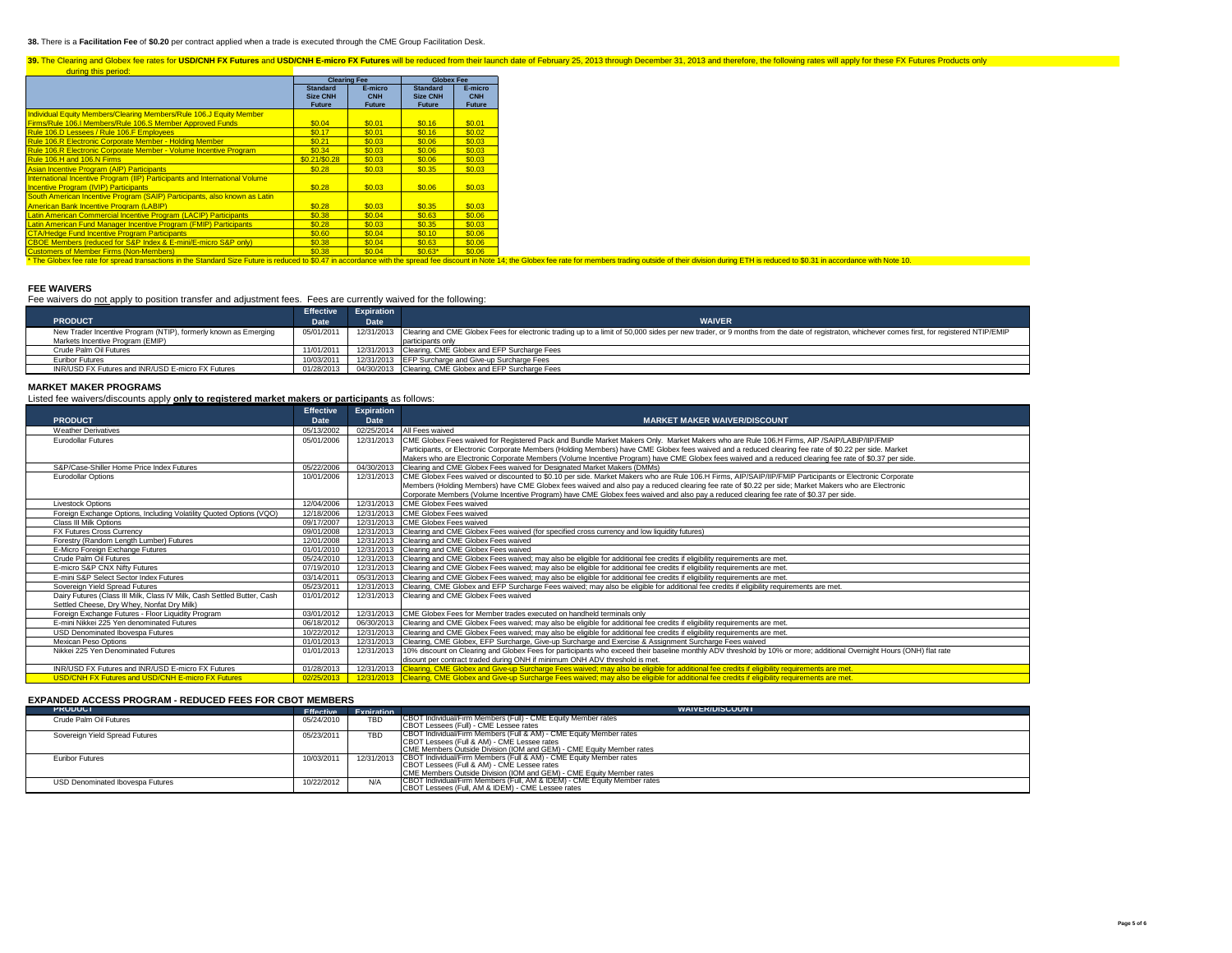### **38.** There is a **Facilitation Fee** of **\$0.20** per contract applied when a trade is executed through the CME Group Facilitation Desk.

# 39. The Clearing and Globex fee rates for USD/CNH FX Futures and USD/CNH E-micro FX Futures will be reduced from their launch date of February 25, 2013 through December 31, 2013 and therefore, the following rates will appl

|                                                                             | <b>Clearing Fee</b>                                 |                                 | <b>Globex Fee</b>                                   |                                 |
|-----------------------------------------------------------------------------|-----------------------------------------------------|---------------------------------|-----------------------------------------------------|---------------------------------|
|                                                                             | <b>Standard</b><br><b>Size CNH</b><br><b>Future</b> | E-micro<br>CNH<br><b>Future</b> | <b>Standard</b><br><b>Size CNH</b><br><b>Future</b> | E-micro<br>CNH<br><b>Future</b> |
| Individual Equity Members/Clearing Members/Rule 106.J Equity Member         |                                                     |                                 |                                                     |                                 |
| Firms/Rule 106.I Members/Rule 106.S Member Approved Funds                   | \$0.04                                              | \$0.01                          | \$0.16                                              | \$0.01                          |
| Rule 106.D Lessees / Rule 106.F Employees                                   | \$0.17                                              | \$0.01                          | \$0.16                                              | \$0.02                          |
| Rule 106.R Electronic Corporate Member - Holding Member                     | \$0.21                                              | \$0.03                          | \$0.06                                              | \$0.03                          |
| Rule 106.R Electronic Corporate Member - Volume Incentive Program           | \$0.34                                              | \$0.03                          | \$0.06                                              | \$0.03                          |
| Rule 106.H and 106.N Firms                                                  | \$0.21/\$0.28                                       | \$0.03                          | \$0.06                                              | \$0.03                          |
| Asian Incentive Program (AIP) Participants                                  | \$0.28                                              | \$0.03                          | \$0.35                                              | \$0.03                          |
| International Incentive Program (IIP) Participants and International Volume |                                                     |                                 |                                                     |                                 |
| <b>Incentive Program (IVIP) Participants</b>                                | \$0.28                                              | \$0.03                          | \$0.06                                              | \$0.03                          |
| South American Incentive Program (SAIP) Participants, also known as Latin   |                                                     |                                 |                                                     |                                 |
| <b>American Bank Incentive Program (LABIP)</b>                              | \$0.28                                              | \$0.03                          | \$0.35                                              | \$0.03                          |
| Latin American Commercial Incentive Program (LACIP) Participants            | \$0.38                                              | \$0.04                          | \$0.63                                              | \$0.06                          |
| Latin American Fund Manager Incentive Program (FMIP) Participants           | \$0.28                                              | \$0.03                          | \$0.35                                              | \$0.03                          |
| <b>CTA/Hedge Fund Incentive Program Participants</b>                        | \$0.60                                              | \$0.04                          | \$0.10                                              | \$0.06                          |
| CBOE Members (reduced for S&P Index & E-mini/E-micro S&P only)              | \$0.38                                              | \$0.04                          | \$0.63                                              | \$0.06                          |
| <b>Customers of Member Firms (Non-Members)</b>                              | \$0.38                                              | \$0.04                          | $$0.63*$                                            | \$0.06                          |

Customers of Member Firms (Non-Members) \$0.38 \$0.04 \$0.63\* \$0.06 \* The Globex fee rate for spread transactions in the Standard Size Future is reduced to \$0.47 in accordance with the spread fee discount in Note 14; the Globex fee rate for members trading outside of their division during ETH is reduced to \$0.31 in accordance with Note 10.

## **FEE WAIVERS**

| Fee waivers do not apply to position transfer and adjustment fees. Fees are currently waived for the following: |  |  |
|-----------------------------------------------------------------------------------------------------------------|--|--|
|                                                                                                                 |  |  |

|                                                                 | Effective A | <b>Expiration</b> |                                                                                                                                                                                                        |
|-----------------------------------------------------------------|-------------|-------------------|--------------------------------------------------------------------------------------------------------------------------------------------------------------------------------------------------------|
| <b>PRODUCT</b>                                                  | Date        | <b>Date</b>       | <b>WAIVER</b>                                                                                                                                                                                          |
| New Trader Incentive Program (NTIP), formerly known as Emerging | 05/01/2011  |                   | 12/31/2013 Clearing and CME Globex Fees for electronic trading up to a limit of 50,000 sides per new trader, or 9 months from the date of registraton, whichever comes first, for registered NTIP/EMIP |
| Markets Incentive Program (EMIP)                                |             |                   | participants only                                                                                                                                                                                      |
| Crude Palm Oil Futures                                          | 11/01/2011  |                   | 12/31/2013 Clearing, CME Globex and EFP Surcharge Fees                                                                                                                                                 |
| <b>Euribor Futures</b>                                          | 10/03/2011  |                   | 12/31/2013 EFP Surcharge and Give-up Surcharge Fees                                                                                                                                                    |
| INR/USD FX Futures and INR/USD E-micro FX Futures               | 01/28/2013  |                   | 04/30/2013 Clearing, CME Globex and EFP Surcharge Fees                                                                                                                                                 |

### **MARKET MAKER PROGRAMS**

Listed fee waivers/discounts apply **only to registered market makers or participants** as follows:

|                                                                         | <b>Effective</b> | <b>Expiration</b> |                                                                                                                                                                      |
|-------------------------------------------------------------------------|------------------|-------------------|----------------------------------------------------------------------------------------------------------------------------------------------------------------------|
| <b>PRODUCT</b>                                                          | Date             | Date              | <b>MARKET MAKER WAIVER/DISCOUNT</b>                                                                                                                                  |
| <b>Weather Derivatives</b>                                              | 05/13/2002       |                   | 02/25/2014 All Fees waived                                                                                                                                           |
| <b>Eurodollar Eutures</b>                                               | 05/01/2006       | 12/31/2013        | CME Globex Fees waived for Registered Pack and Bundle Market Makers Only. Market Makers who are Rule 106.H Firms, AIP /SAIP/LABIP/IIP/FMIP                           |
|                                                                         |                  |                   | Participants, or Electronic Corporate Members (Holding Members) have CME Globex fees waived and a reduced clearing fee rate of \$0.22 per side. Market               |
|                                                                         |                  |                   | Makers who are Electronic Corporate Members (Volume Incentive Program) have CME Globex fees waived and a reduced clearing fee rate of \$0.37 per side.               |
| S&P/Case-Shiller Home Price Index Futures                               | 05/22/2006       |                   | 04/30/2013 Clearing and CME Globex Fees waived for Designated Market Makers (DMMs)                                                                                   |
| <b>Eurodollar Options</b>                                               | 10/01/2006       |                   | 12/31/2013   CME Globex Fees waived or discounted to \$0.10 per side. Market Makers who are Rule 106.H Firms, AIP/SAIP/IIP/FMIP Participants or Electronic Corporate |
|                                                                         |                  |                   | Members (Holding Members) have CME Globex fees waived and also pay a reduced clearing fee rate of \$0.22 per side; Market Makers who are Electronic                  |
|                                                                         |                  |                   | Corporate Members (Volume Incentive Program) have CME Globex fees waived and also pay a reduced clearing fee rate of \$0.37 per side.                                |
| <b>Livestock Options</b>                                                | 12/04/2006       |                   | 12/31/2013 CME Globex Fees waived                                                                                                                                    |
| Foreign Exchange Options, Including Volatility Quoted Options (VQO)     | 12/18/2006       |                   | 12/31/2013 CME Globex Fees waived                                                                                                                                    |
| Class III Milk Options                                                  | 09/17/2007       |                   | 12/31/2013 CME Globex Fees waived                                                                                                                                    |
| <b>FX Futures Cross Currency</b>                                        | 09/01/2008       | 12/31/2013        | Clearing and CME Globex Fees waived (for specified cross currency and low liquidity futures)                                                                         |
| Forestry (Random Length Lumber) Futures                                 | 12/01/2008       |                   | 12/31/2013 Clearing and CME Globex Fees waived                                                                                                                       |
| E-Micro Foreign Exchange Futures                                        | 01/01/2010       |                   | 12/31/2013 Clearing and CME Globex Fees waived                                                                                                                       |
| Crude Palm Oil Futures                                                  | 05/24/2010       |                   | 12/31/2013 Clearing and CME Globex Fees waived; may also be eligible for additional fee credits if eligibility requirements are met.                                 |
| E-micro S&P CNX Nifty Futures                                           | 07/19/2010       | 12/31/2013        | Clearing and CME Globex Fees waived: may also be eligible for additional fee credits if eligibility requirements are met.                                            |
| E-mini S&P Select Sector Index Futures                                  | 03/14/2011       |                   | 05/31/2013 Clearing and CME Globex Fees waived; may also be eligible for additional fee credits if eligibility requirements are met.                                 |
| Sovereign Yield Spread Futures                                          | 05/23/2011       | 12/31/2013        | Clearing, CME Globex and EFP Surcharge Fees waived; may also be eligible for additional fee credits if eligibility requirements are met.                             |
| Dairy Futures (Class III Milk, Class IV Milk, Cash Settled Butter, Cash | 01/01/2012       |                   | 12/31/2013 Clearing and CME Globex Fees waived                                                                                                                       |
| Settled Cheese, Dry Whey, Nonfat Dry Milk)                              |                  |                   |                                                                                                                                                                      |
| Foreign Exchange Futures - Floor Liquidity Program                      | 03/01/2012       |                   | 12/31/2013 CME Globex Fees for Member trades executed on handheld terminals only                                                                                     |
| E-mini Nikkei 225 Yen denominated Futures                               | 06/18/2012       |                   | 06/30/2013 Clearing and CME Globex Fees waived; may also be eligible for additional fee credits if eligibility requirements are met.                                 |
| USD Denominated Ibovespa Futures                                        | 10/22/2012       |                   | 12/31/2013 Clearing and CME Globex Fees waived; may also be eligible for additional fee credits if eligibility requirements are met.                                 |
| Mexican Peso Options                                                    | 01/01/2013       |                   | 12/31/2013 Clearing, CME Globex, EFP Surcharge, Give-up Surcharge and Exercise & Assignment Surcharge Fees waived                                                    |
| Nikkei 225 Yen Denominated Futures                                      | 01/01/2013       | 12/31/2013        | 10% discount on Clearing and Globex Fees for participants who exceed their baseline monthly ADV threshold by 10% or more; additional Overnight Hours (ONH) flat rate |
|                                                                         |                  |                   | disount per contract traded during ONH if minimum ONH ADV threshold is met.                                                                                          |
| INR/USD FX Futures and INR/USD E-micro FX Futures                       | 01/28/2013       |                   | 12/31/2013 Clearing, CME Globex and Give-up Surcharge Fees waived; may also be eligible for additional fee credits if eligibility requirements are met.              |
| <b>USD/CNH FX Futures and USD/CNH E-micro FX Futures</b>                | 02/25/2013       |                   | 12/31/2013 Clearing, CME Globex and Give-up Surcharge Fees waived; may also be eligible for additional fee credits if eligibility requirements are met.              |

# **EXPANDED ACCESS PROGRAM - REDUCED FEES FOR CBOT MEMBERS**

| <b>PRODUCT</b>                   |            | <b>Effective Expiration</b> | <b>WAIVER/DISCOUNT</b>                                                                                                                                                                                                                                                                                                                |
|----------------------------------|------------|-----------------------------|---------------------------------------------------------------------------------------------------------------------------------------------------------------------------------------------------------------------------------------------------------------------------------------------------------------------------------------|
| Crude Palm Oil Futures           | 05/24/2010 | <b>TBD</b>                  | CBOT Individual/Firm Members (Full) - CME Equity Member rates                                                                                                                                                                                                                                                                         |
|                                  |            |                             | <b>CBOT Lessees (Full) - CME Lessee rates</b>                                                                                                                                                                                                                                                                                         |
| Sovereign Yield Spread Futures   | 05/23/2011 | <b>TBD</b>                  | CBOT Individual/Firm Members (Full & AM) - CME Equity Member rates                                                                                                                                                                                                                                                                    |
|                                  |            |                             | CBOT Lessees (Full & AM) - CME Lessee rates                                                                                                                                                                                                                                                                                           |
|                                  |            |                             |                                                                                                                                                                                                                                                                                                                                       |
| Euribor Futures                  | 10/03/2011 |                             |                                                                                                                                                                                                                                                                                                                                       |
|                                  |            |                             |                                                                                                                                                                                                                                                                                                                                       |
|                                  |            |                             | CME Members Outside Division (IOM and GEM) - CME Equity Member rates                                                                                                                                                                                                                                                                  |
|                                  | 10/22/2012 | N/A                         |                                                                                                                                                                                                                                                                                                                                       |
|                                  |            |                             |                                                                                                                                                                                                                                                                                                                                       |
| USD Denominated Ibovespa Futures |            |                             | CME Members Outside Division (IOM and GEM) - CME Equity Member rates<br>12/31/2013 CBOT Individual/Firm Members (Full & AM) - CME Equity Member rates<br>CBOT Lessees (Full & AM) - CME Lessee rates<br>CBOT Individual/Firm Members (Full, AM & IDEM) - CME Equity Member rates<br>CBOT Lessees (Full, AM & IDEM) - CME Lessee rates |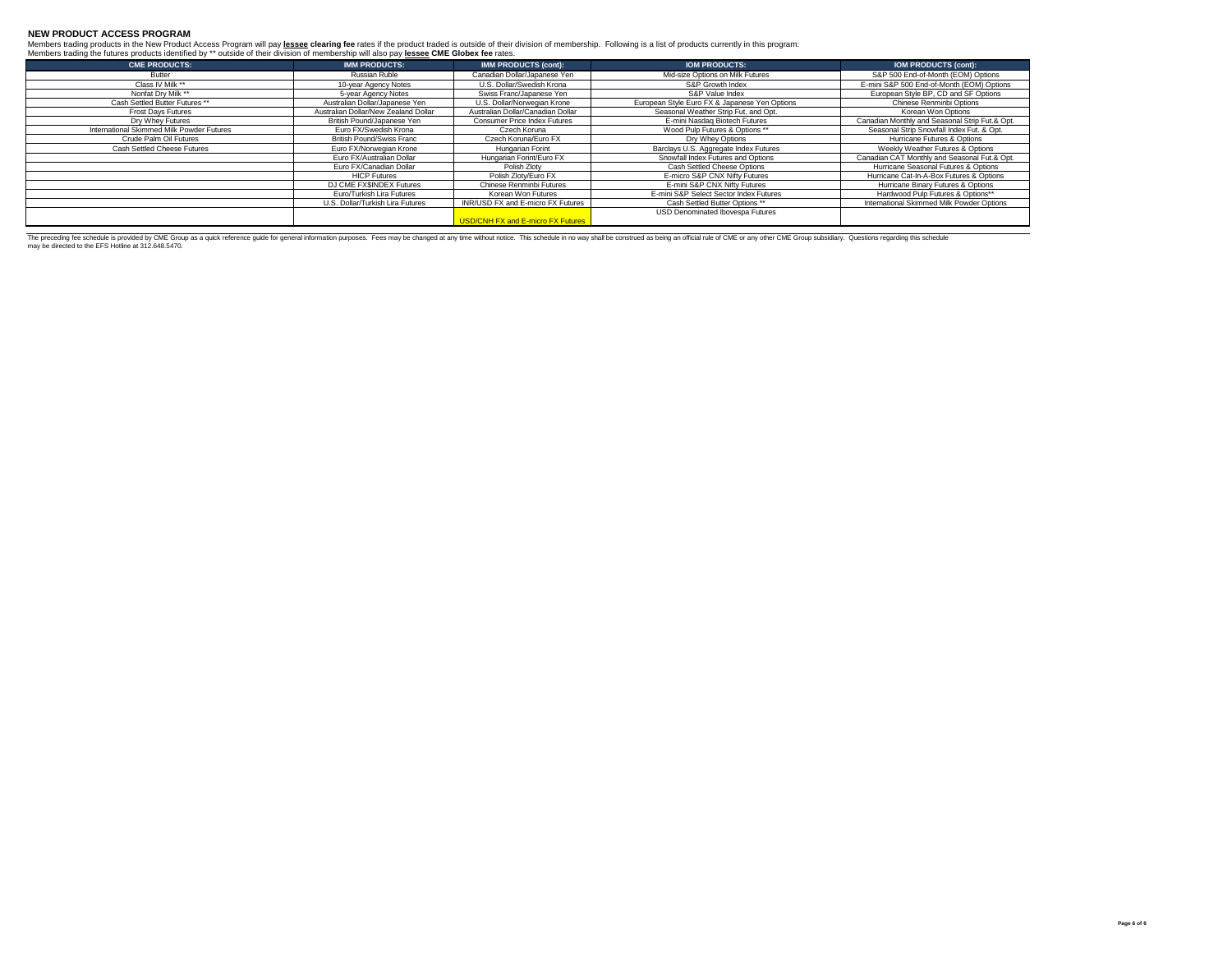## **NEW PRODUCT ACCESS PROGRAM**

Members trading products in the New Product Access Program will pay lessee clearing fee rates if the product traded is outside of their division of membership. Following is a list of products currently in this program:<br>Mem

| <b>CME PRODUCTS:</b>                      | <b>IMM PRODUCTS:</b>                 | <b>IMM PRODUCTS (cont):</b>              | <b>IOM PRODUCTS:</b>                          | <b>IOM PRODUCTS (cont):</b>                    |
|-------------------------------------------|--------------------------------------|------------------------------------------|-----------------------------------------------|------------------------------------------------|
| Butter                                    | Russian Ruble                        | Canadian Dollar/Japanese Yen             | Mid-size Options on Milk Futures              | S&P 500 End-of-Month (EOM) Options             |
| Class IV Milk **                          | 10-year Agency Notes                 | U.S. Dollar/Swedish Krona                | S&P Growth Index                              | E-mini S&P 500 End-of-Month (EOM) Options      |
| Nonfat Drv Milk **                        | 5-year Agency Notes                  | Swiss Franc/Japanese Yen                 | S&P Value Index                               | European Style BP, CD and SF Options           |
| Cash Settled Butter Futures **            | Australian Dollar/Japanese Yen       | U.S. Dollar/Norwegian Krone              | European Style Euro FX & Japanese Yen Options | Chinese Renminbi Options                       |
| Frost Days Futures                        | Australian Dollar/New Zealand Dollar | Australian Dollar/Canadian Dollar        | Seasonal Weather Strip Fut. and Opt.          | Korean Won Options                             |
| Dry Whey Futures                          | British Pound/Japanese Yen           | <b>Consumer Price Index Futures</b>      | E-mini Nasdag Biotech Futures                 | Canadian Monthly and Seasonal Strip Fut.& Opt. |
| International Skimmed Milk Powder Futures | Euro FX/Swedish Krona                | Czech Koruna                             | Wood Pulp Futures & Options **                | Seasonal Strip Snowfall Index Fut, & Opt.      |
| Crude Palm Oil Futures                    | <b>British Pound/Swiss Franc</b>     | Czech Koruna/Euro FX                     | Dry Whey Options                              | Hurricane Futures & Options                    |
| Cash Settled Cheese Futures               | Euro FX/Norwegian Krone              | Hungarian Forint                         | Barclays U.S. Aggregate Index Futures         | Weekly Weather Futures & Options               |
|                                           | Euro FX/Australian Dollar            | Hungarian Forint/Euro FX                 | Snowfall Index Futures and Options            | Canadian CAT Monthly and Seasonal Fut.& Opt.   |
|                                           | Euro FX/Canadian Dollar              | Polish Zlotv                             | Cash Settled Cheese Options                   | Hurricane Seasonal Futures & Options           |
|                                           | <b>HICP Futures</b>                  | Polish Zlotv/Euro FX                     | E-micro S&P CNX Nifty Futures                 | Hurricane Cat-In-A-Box Futures & Options       |
|                                           | DJ CME FX\$INDEX Futures             | Chinese Renminbi Futures                 | E-mini S&P CNX Nifty Futures                  | Hurricane Binary Futures & Options             |
|                                           | Euro/Turkish Lira Futures            | Korean Won Futures                       | E-mini S&P Select Sector Index Futures        | Hardwood Pulp Futures & Options**              |
|                                           | U.S. Dollar/Turkish Lira Futures     | INR/USD FX and E-micro FX Futures        | Cash Settled Butter Options **                | International Skimmed Milk Powder Options      |
|                                           |                                      |                                          | USD Denominated Ibovespa Futures              |                                                |
|                                           |                                      | <b>USD/CNH FX and E-micro FX Futures</b> |                                               |                                                |

The preceding fee schedule is provide by OME Schence and the fore property information purposes. Fees may be changed at any time without notice. This schedule in no way shall be construed as being an official rule of CME o